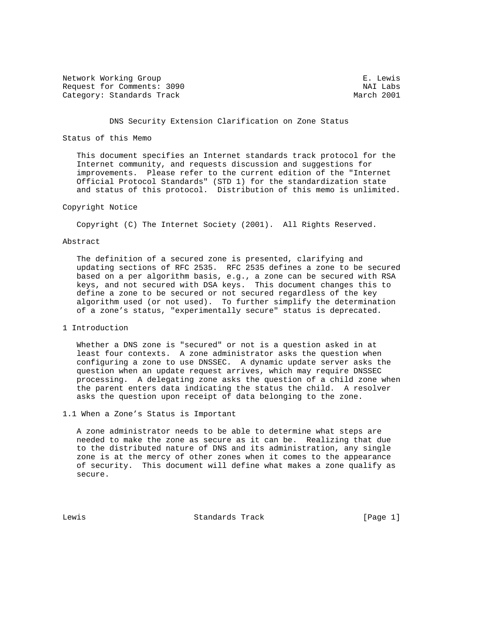Network Working Group<br>Request for Comments: 3090 NAI Labs Request for Comments: 3090 NAI Labs Category: Standards Track

# DNS Security Extension Clarification on Zone Status

# Status of this Memo

 This document specifies an Internet standards track protocol for the Internet community, and requests discussion and suggestions for improvements. Please refer to the current edition of the "Internet Official Protocol Standards" (STD 1) for the standardization state and status of this protocol. Distribution of this memo is unlimited.

# Copyright Notice

Copyright (C) The Internet Society (2001). All Rights Reserved.

# Abstract

 The definition of a secured zone is presented, clarifying and updating sections of RFC 2535. RFC 2535 defines a zone to be secured based on a per algorithm basis, e.g., a zone can be secured with RSA keys, and not secured with DSA keys. This document changes this to define a zone to be secured or not secured regardless of the key algorithm used (or not used). To further simplify the determination of a zone's status, "experimentally secure" status is deprecated.

1 Introduction

 Whether a DNS zone is "secured" or not is a question asked in at least four contexts. A zone administrator asks the question when configuring a zone to use DNSSEC. A dynamic update server asks the question when an update request arrives, which may require DNSSEC processing. A delegating zone asks the question of a child zone when the parent enters data indicating the status the child. A resolver asks the question upon receipt of data belonging to the zone.

1.1 When a Zone's Status is Important

 A zone administrator needs to be able to determine what steps are needed to make the zone as secure as it can be. Realizing that due to the distributed nature of DNS and its administration, any single zone is at the mercy of other zones when it comes to the appearance of security. This document will define what makes a zone qualify as secure.

Lewis Standards Track [Page 1]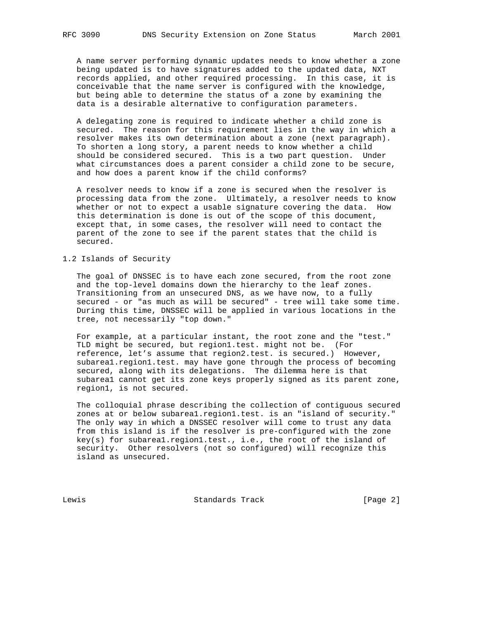A name server performing dynamic updates needs to know whether a zone being updated is to have signatures added to the updated data, NXT records applied, and other required processing. In this case, it is conceivable that the name server is configured with the knowledge, but being able to determine the status of a zone by examining the data is a desirable alternative to configuration parameters.

 A delegating zone is required to indicate whether a child zone is secured. The reason for this requirement lies in the way in which a resolver makes its own determination about a zone (next paragraph). To shorten a long story, a parent needs to know whether a child should be considered secured. This is a two part question. Under what circumstances does a parent consider a child zone to be secure, and how does a parent know if the child conforms?

 A resolver needs to know if a zone is secured when the resolver is processing data from the zone. Ultimately, a resolver needs to know whether or not to expect a usable signature covering the data. How this determination is done is out of the scope of this document, except that, in some cases, the resolver will need to contact the parent of the zone to see if the parent states that the child is secured.

# 1.2 Islands of Security

 The goal of DNSSEC is to have each zone secured, from the root zone and the top-level domains down the hierarchy to the leaf zones. Transitioning from an unsecured DNS, as we have now, to a fully secured - or "as much as will be secured" - tree will take some time. During this time, DNSSEC will be applied in various locations in the tree, not necessarily "top down."

 For example, at a particular instant, the root zone and the "test." TLD might be secured, but region1.test. might not be. (For reference, let's assume that region2.test. is secured.) However, subarea1.region1.test. may have gone through the process of becoming secured, along with its delegations. The dilemma here is that subarea1 cannot get its zone keys properly signed as its parent zone, region1, is not secured.

 The colloquial phrase describing the collection of contiguous secured zones at or below subarea1.region1.test. is an "island of security." The only way in which a DNSSEC resolver will come to trust any data from this island is if the resolver is pre-configured with the zone key(s) for subarea1.region1.test., i.e., the root of the island of security. Other resolvers (not so configured) will recognize this island as unsecured.

Lewis Chandards Track [Page 2]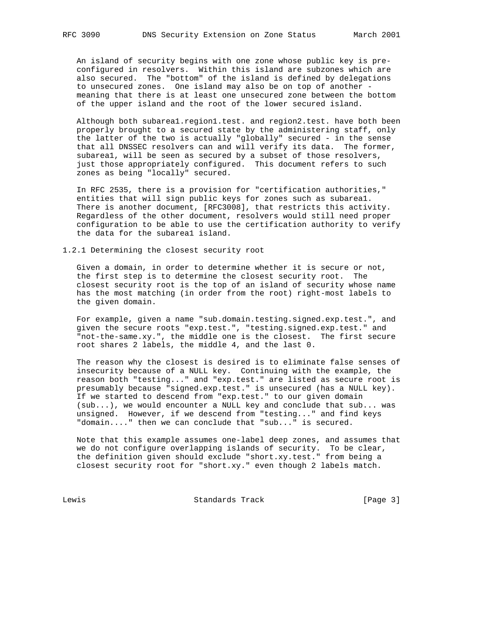An island of security begins with one zone whose public key is pre configured in resolvers. Within this island are subzones which are also secured. The "bottom" of the island is defined by delegations to unsecured zones. One island may also be on top of another meaning that there is at least one unsecured zone between the bottom of the upper island and the root of the lower secured island.

 Although both subarea1.region1.test. and region2.test. have both been properly brought to a secured state by the administering staff, only the latter of the two is actually "globally" secured - in the sense that all DNSSEC resolvers can and will verify its data. The former, subarea1, will be seen as secured by a subset of those resolvers, just those appropriately configured. This document refers to such zones as being "locally" secured.

 In RFC 2535, there is a provision for "certification authorities," entities that will sign public keys for zones such as subarea1. There is another document, [RFC3008], that restricts this activity. Regardless of the other document, resolvers would still need proper configuration to be able to use the certification authority to verify the data for the subarea1 island.

1.2.1 Determining the closest security root

 Given a domain, in order to determine whether it is secure or not, the first step is to determine the closest security root. The closest security root is the top of an island of security whose name has the most matching (in order from the root) right-most labels to the given domain.

 For example, given a name "sub.domain.testing.signed.exp.test.", and given the secure roots "exp.test.", "testing.signed.exp.test." and "not-the-same.xy.", the middle one is the closest. The first secure root shares 2 labels, the middle 4, and the last 0.

 The reason why the closest is desired is to eliminate false senses of insecurity because of a NULL key. Continuing with the example, the reason both "testing..." and "exp.test." are listed as secure root is presumably because "signed.exp.test." is unsecured (has a NULL key). If we started to descend from "exp.test." to our given domain (sub...), we would encounter a NULL key and conclude that sub... was unsigned. However, if we descend from "testing..." and find keys "domain...." then we can conclude that "sub..." is secured.

 Note that this example assumes one-label deep zones, and assumes that we do not configure overlapping islands of security. To be clear, the definition given should exclude "short.xy.test." from being a closest security root for "short.xy." even though 2 labels match.

Lewis Chandards Track [Page 3]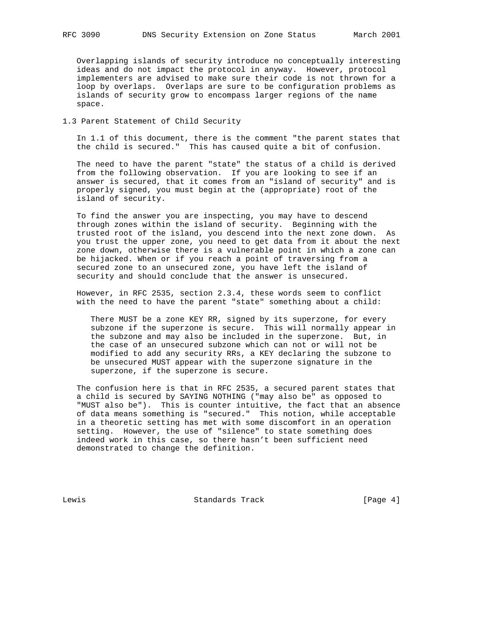Overlapping islands of security introduce no conceptually interesting ideas and do not impact the protocol in anyway. However, protocol implementers are advised to make sure their code is not thrown for a loop by overlaps. Overlaps are sure to be configuration problems as islands of security grow to encompass larger regions of the name space.

#### 1.3 Parent Statement of Child Security

 In 1.1 of this document, there is the comment "the parent states that the child is secured." This has caused quite a bit of confusion.

 The need to have the parent "state" the status of a child is derived from the following observation. If you are looking to see if an answer is secured, that it comes from an "island of security" and is properly signed, you must begin at the (appropriate) root of the island of security.

 To find the answer you are inspecting, you may have to descend through zones within the island of security. Beginning with the trusted root of the island, you descend into the next zone down. As you trust the upper zone, you need to get data from it about the next zone down, otherwise there is a vulnerable point in which a zone can be hijacked. When or if you reach a point of traversing from a secured zone to an unsecured zone, you have left the island of security and should conclude that the answer is unsecured.

 However, in RFC 2535, section 2.3.4, these words seem to conflict with the need to have the parent "state" something about a child:

 There MUST be a zone KEY RR, signed by its superzone, for every subzone if the superzone is secure. This will normally appear in the subzone and may also be included in the superzone. But, in the case of an unsecured subzone which can not or will not be modified to add any security RRs, a KEY declaring the subzone to be unsecured MUST appear with the superzone signature in the superzone, if the superzone is secure.

 The confusion here is that in RFC 2535, a secured parent states that a child is secured by SAYING NOTHING ("may also be" as opposed to "MUST also be"). This is counter intuitive, the fact that an absence of data means something is "secured." This notion, while acceptable in a theoretic setting has met with some discomfort in an operation setting. However, the use of "silence" to state something does indeed work in this case, so there hasn't been sufficient need demonstrated to change the definition.

Lewis **Example 2** Standards Track [Page 4]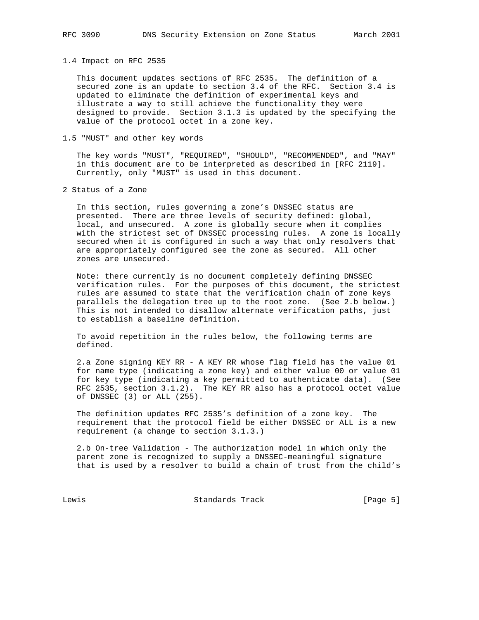1.4 Impact on RFC 2535

 This document updates sections of RFC 2535. The definition of a secured zone is an update to section 3.4 of the RFC. Section 3.4 is updated to eliminate the definition of experimental keys and illustrate a way to still achieve the functionality they were designed to provide. Section 3.1.3 is updated by the specifying the value of the protocol octet in a zone key.

#### 1.5 "MUST" and other key words

 The key words "MUST", "REQUIRED", "SHOULD", "RECOMMENDED", and "MAY" in this document are to be interpreted as described in [RFC 2119]. Currently, only "MUST" is used in this document.

2 Status of a Zone

 In this section, rules governing a zone's DNSSEC status are presented. There are three levels of security defined: global, local, and unsecured. A zone is globally secure when it complies with the strictest set of DNSSEC processing rules. A zone is locally secured when it is configured in such a way that only resolvers that are appropriately configured see the zone as secured. All other zones are unsecured.

 Note: there currently is no document completely defining DNSSEC verification rules. For the purposes of this document, the strictest rules are assumed to state that the verification chain of zone keys parallels the delegation tree up to the root zone. (See 2.b below.) This is not intended to disallow alternate verification paths, just to establish a baseline definition.

 To avoid repetition in the rules below, the following terms are defined.

 2.a Zone signing KEY RR - A KEY RR whose flag field has the value 01 for name type (indicating a zone key) and either value 00 or value 01 for key type (indicating a key permitted to authenticate data). (See RFC 2535, section 3.1.2). The KEY RR also has a protocol octet value of DNSSEC (3) or ALL (255).

 The definition updates RFC 2535's definition of a zone key. The requirement that the protocol field be either DNSSEC or ALL is a new requirement (a change to section 3.1.3.)

 2.b On-tree Validation - The authorization model in which only the parent zone is recognized to supply a DNSSEC-meaningful signature that is used by a resolver to build a chain of trust from the child's

Lewis Chandards Track [Page 5]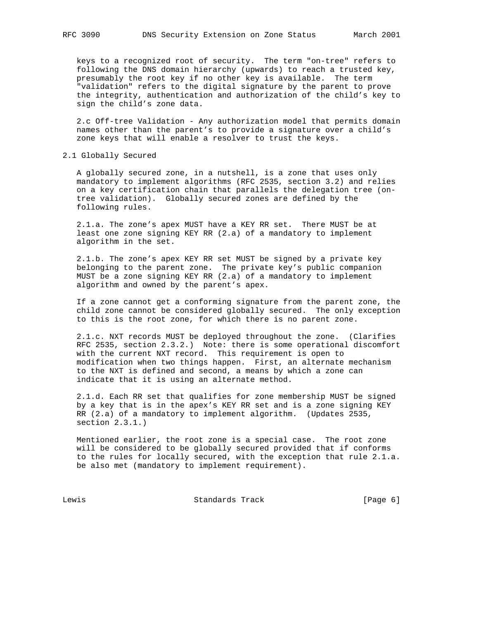keys to a recognized root of security. The term "on-tree" refers to following the DNS domain hierarchy (upwards) to reach a trusted key, presumably the root key if no other key is available. The term "validation" refers to the digital signature by the parent to prove the integrity, authentication and authorization of the child's key to sign the child's zone data.

 2.c Off-tree Validation - Any authorization model that permits domain names other than the parent's to provide a signature over a child's zone keys that will enable a resolver to trust the keys.

# 2.1 Globally Secured

 A globally secured zone, in a nutshell, is a zone that uses only mandatory to implement algorithms (RFC 2535, section 3.2) and relies on a key certification chain that parallels the delegation tree (on tree validation). Globally secured zones are defined by the following rules.

 2.1.a. The zone's apex MUST have a KEY RR set. There MUST be at least one zone signing KEY RR (2.a) of a mandatory to implement algorithm in the set.

 2.1.b. The zone's apex KEY RR set MUST be signed by a private key belonging to the parent zone. The private key's public companion MUST be a zone signing KEY RR (2.a) of a mandatory to implement algorithm and owned by the parent's apex.

 If a zone cannot get a conforming signature from the parent zone, the child zone cannot be considered globally secured. The only exception to this is the root zone, for which there is no parent zone.

 2.1.c. NXT records MUST be deployed throughout the zone. (Clarifies RFC 2535, section 2.3.2.) Note: there is some operational discomfort with the current NXT record. This requirement is open to modification when two things happen. First, an alternate mechanism to the NXT is defined and second, a means by which a zone can indicate that it is using an alternate method.

 2.1.d. Each RR set that qualifies for zone membership MUST be signed by a key that is in the apex's KEY RR set and is a zone signing KEY RR (2.a) of a mandatory to implement algorithm. (Updates 2535, section 2.3.1.)

 Mentioned earlier, the root zone is a special case. The root zone will be considered to be globally secured provided that if conforms to the rules for locally secured, with the exception that rule 2.1.a. be also met (mandatory to implement requirement).

Lewis Chandards Track [Page 6]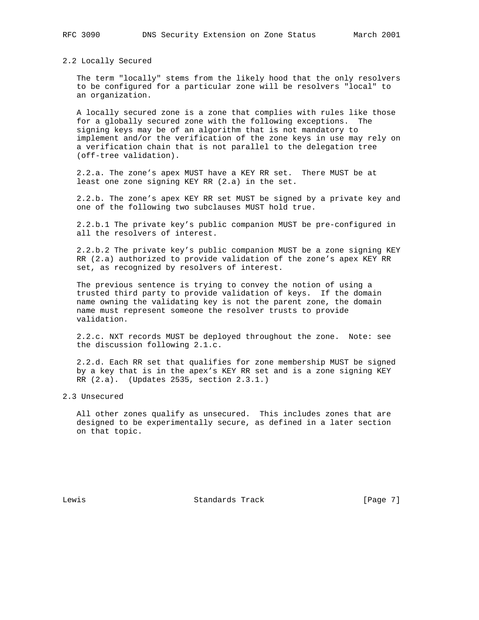2.2 Locally Secured

 The term "locally" stems from the likely hood that the only resolvers to be configured for a particular zone will be resolvers "local" to an organization.

 A locally secured zone is a zone that complies with rules like those for a globally secured zone with the following exceptions. The signing keys may be of an algorithm that is not mandatory to implement and/or the verification of the zone keys in use may rely on a verification chain that is not parallel to the delegation tree (off-tree validation).

 2.2.a. The zone's apex MUST have a KEY RR set. There MUST be at least one zone signing KEY RR (2.a) in the set.

 2.2.b. The zone's apex KEY RR set MUST be signed by a private key and one of the following two subclauses MUST hold true.

 2.2.b.1 The private key's public companion MUST be pre-configured in all the resolvers of interest.

 2.2.b.2 The private key's public companion MUST be a zone signing KEY RR (2.a) authorized to provide validation of the zone's apex KEY RR set, as recognized by resolvers of interest.

 The previous sentence is trying to convey the notion of using a trusted third party to provide validation of keys. If the domain name owning the validating key is not the parent zone, the domain name must represent someone the resolver trusts to provide validation.

 2.2.c. NXT records MUST be deployed throughout the zone. Note: see the discussion following 2.1.c.

 2.2.d. Each RR set that qualifies for zone membership MUST be signed by a key that is in the apex's KEY RR set and is a zone signing KEY RR (2.a). (Updates 2535, section 2.3.1.)

2.3 Unsecured

 All other zones qualify as unsecured. This includes zones that are designed to be experimentally secure, as defined in a later section on that topic.

Lewis **Example 2** Standards Track [Page 7]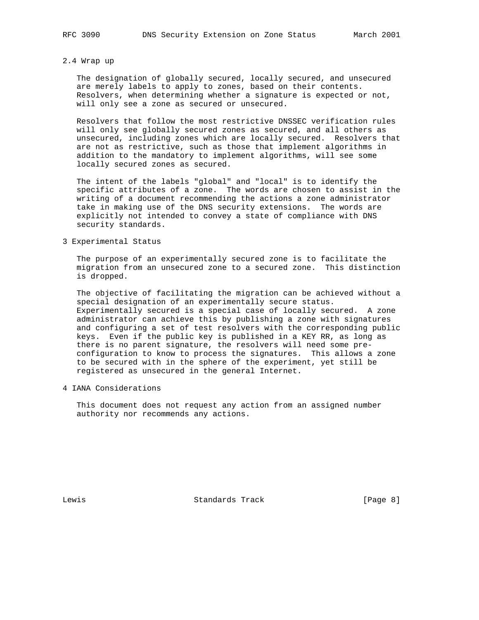#### 2.4 Wrap up

 The designation of globally secured, locally secured, and unsecured are merely labels to apply to zones, based on their contents. Resolvers, when determining whether a signature is expected or not, will only see a zone as secured or unsecured.

 Resolvers that follow the most restrictive DNSSEC verification rules will only see globally secured zones as secured, and all others as unsecured, including zones which are locally secured. Resolvers that are not as restrictive, such as those that implement algorithms in addition to the mandatory to implement algorithms, will see some locally secured zones as secured.

 The intent of the labels "global" and "local" is to identify the specific attributes of a zone. The words are chosen to assist in the writing of a document recommending the actions a zone administrator take in making use of the DNS security extensions. The words are explicitly not intended to convey a state of compliance with DNS security standards.

# 3 Experimental Status

 The purpose of an experimentally secured zone is to facilitate the migration from an unsecured zone to a secured zone. This distinction is dropped.

 The objective of facilitating the migration can be achieved without a special designation of an experimentally secure status. Experimentally secured is a special case of locally secured. A zone administrator can achieve this by publishing a zone with signatures and configuring a set of test resolvers with the corresponding public keys. Even if the public key is published in a KEY RR, as long as there is no parent signature, the resolvers will need some pre configuration to know to process the signatures. This allows a zone to be secured with in the sphere of the experiment, yet still be registered as unsecured in the general Internet.

4 IANA Considerations

 This document does not request any action from an assigned number authority nor recommends any actions.

Lewis **Example 2** Standards Track [Page 8]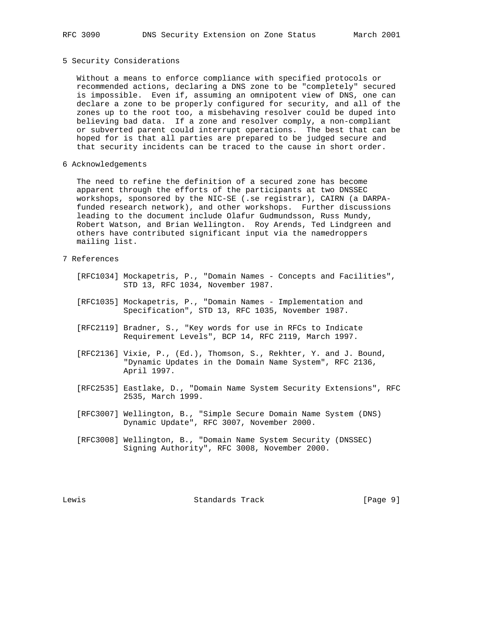5 Security Considerations

 Without a means to enforce compliance with specified protocols or recommended actions, declaring a DNS zone to be "completely" secured is impossible. Even if, assuming an omnipotent view of DNS, one can declare a zone to be properly configured for security, and all of the zones up to the root too, a misbehaving resolver could be duped into believing bad data. If a zone and resolver comply, a non-compliant or subverted parent could interrupt operations. The best that can be hoped for is that all parties are prepared to be judged secure and that security incidents can be traced to the cause in short order.

6 Acknowledgements

 The need to refine the definition of a secured zone has become apparent through the efforts of the participants at two DNSSEC workshops, sponsored by the NIC-SE (.se registrar), CAIRN (a DARPA funded research network), and other workshops. Further discussions leading to the document include Olafur Gudmundsson, Russ Mundy, Robert Watson, and Brian Wellington. Roy Arends, Ted Lindgreen and others have contributed significant input via the namedroppers mailing list.

# 7 References

- [RFC1034] Mockapetris, P., "Domain Names Concepts and Facilities", STD 13, RFC 1034, November 1987.
	- [RFC1035] Mockapetris, P., "Domain Names Implementation and Specification", STD 13, RFC 1035, November 1987.
	- [RFC2119] Bradner, S., "Key words for use in RFCs to Indicate Requirement Levels", BCP 14, RFC 2119, March 1997.
	- [RFC2136] Vixie, P., (Ed.), Thomson, S., Rekhter, Y. and J. Bound, "Dynamic Updates in the Domain Name System", RFC 2136, April 1997.
	- [RFC2535] Eastlake, D., "Domain Name System Security Extensions", RFC 2535, March 1999.
	- [RFC3007] Wellington, B., "Simple Secure Domain Name System (DNS) Dynamic Update", RFC 3007, November 2000.
	- [RFC3008] Wellington, B., "Domain Name System Security (DNSSEC) Signing Authority", RFC 3008, November 2000.

Lewis Chamber Standards Track [Page 9]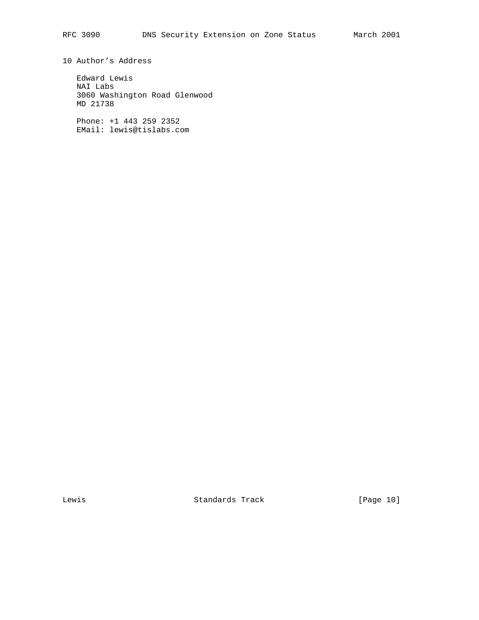10 Author's Address

 Edward Lewis NAI Labs 3060 Washington Road Glenwood MD 21738

 Phone: +1 443 259 2352 EMail: lewis@tislabs.com

Lewis Chandards Track [Page 10]